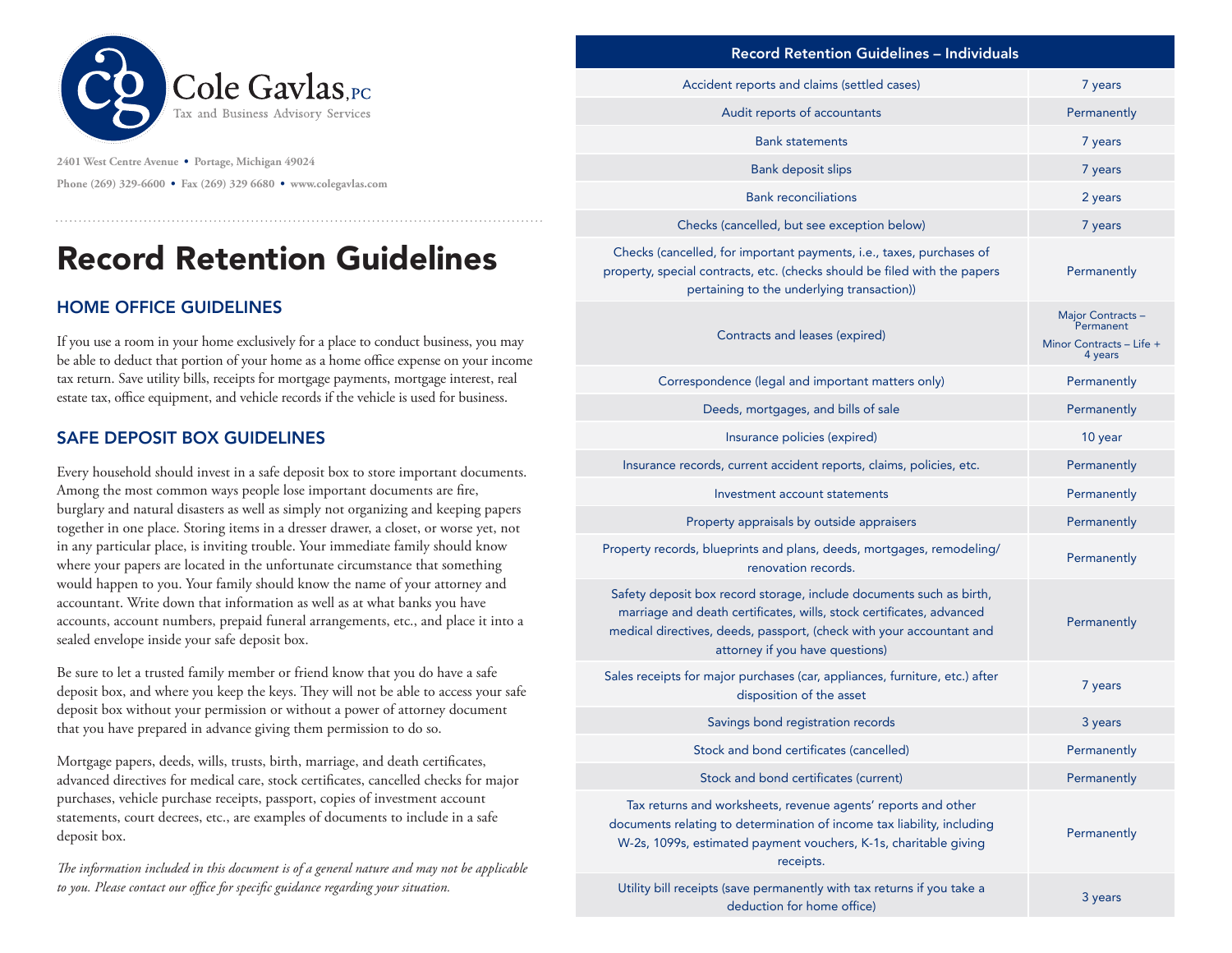

**2401 West Centre Avenue • Portage, Michigan 49024 Phone (269) 329-6600 • Fax (269) 329 6680 • www.colegavlas.com**

## Record Retention Guidelines

## HOME OFFICE GUIDELINES

If you use a room in your home exclusively for a place to conduct business, you may be able to deduct that portion of your home as a home office expense on your income tax return. Save utility bills, receipts for mortgage payments, mortgage interest, real estate tax, office equipment, and vehicle records if the vehicle is used for business.

## SAFE DEPOSIT BOX GUIDELINES

Every household should invest in a safe deposit box to store important documents. Among the most common ways people lose important documents are fire, burglary and natural disasters as well as simply not organizing and keeping papers together in one place. Storing items in a dresser drawer, a closet, or worse yet, not in any particular place, is inviting trouble. Your immediate family should know where your papers are located in the unfortunate circumstance that something would happen to you. Your family should know the name of your attorney and accountant. Write down that information as well as at what banks you have accounts, account numbers, prepaid funeral arrangements, etc., and place it into a sealed envelope inside your safe deposit box.

Be sure to let a trusted family member or friend know that you do have a safe deposit box, and where you keep the keys. They will not be able to access your safe deposit box without your permission or without a power of attorney document that you have prepared in advance giving them permission to do so.

Mortgage papers, deeds, wills, trusts, birth, marriage, and death certificates, advanced directives for medical care, stock certificates, cancelled checks for major purchases, vehicle purchase receipts, passport, copies of investment account statements, court decrees, etc., are examples of documents to include in a safe deposit box.

*The information included in this document is of a general nature and may not be applicable to you. Please contact our office for specific guidance regarding your situation.*

| Accident reports and claims (settled cases)                                                                                                                                                                                                            | 7 years                                                               |
|--------------------------------------------------------------------------------------------------------------------------------------------------------------------------------------------------------------------------------------------------------|-----------------------------------------------------------------------|
| Audit reports of accountants                                                                                                                                                                                                                           | Permanently                                                           |
| <b>Bank statements</b>                                                                                                                                                                                                                                 | 7 years                                                               |
| <b>Bank deposit slips</b>                                                                                                                                                                                                                              | 7 years                                                               |
| <b>Bank reconciliations</b>                                                                                                                                                                                                                            | 2 years                                                               |
| Checks (cancelled, but see exception below)                                                                                                                                                                                                            | 7 years                                                               |
| Checks (cancelled, for important payments, i.e., taxes, purchases of<br>property, special contracts, etc. (checks should be filed with the papers<br>pertaining to the underlying transaction))                                                        | Permanently                                                           |
| Contracts and leases (expired)                                                                                                                                                                                                                         | Major Contracts -<br>Permanent<br>Minor Contracts - Life +<br>4 years |
| Correspondence (legal and important matters only)                                                                                                                                                                                                      | Permanently                                                           |
| Deeds, mortgages, and bills of sale                                                                                                                                                                                                                    | Permanently                                                           |
| Insurance policies (expired)                                                                                                                                                                                                                           | 10 year                                                               |
| Insurance records, current accident reports, claims, policies, etc.                                                                                                                                                                                    | Permanently                                                           |
| Investment account statements                                                                                                                                                                                                                          | Permanently                                                           |
| Property appraisals by outside appraisers                                                                                                                                                                                                              | Permanently                                                           |
| Property records, blueprints and plans, deeds, mortgages, remodeling/<br>renovation records.                                                                                                                                                           | Permanently                                                           |
| Safety deposit box record storage, include documents such as birth,<br>marriage and death certificates, wills, stock certificates, advanced<br>medical directives, deeds, passport, (check with your accountant and<br>attorney if you have questions) | Permanently                                                           |
| Sales receipts for major purchases (car, appliances, furniture, etc.) after<br>disposition of the asset                                                                                                                                                | 7 years                                                               |
| Savings bond registration records                                                                                                                                                                                                                      | 3 years                                                               |
| Stock and bond certificates (cancelled)                                                                                                                                                                                                                | Permanently                                                           |
| Stock and bond certificates (current)                                                                                                                                                                                                                  | Permanently                                                           |
| Tax returns and worksheets, revenue agents' reports and other<br>documents relating to determination of income tax liability, including<br>W-2s, 1099s, estimated payment vouchers, K-1s, charitable giving<br>receipts.                               | Permanently                                                           |
| Utility bill receipts (save permanently with tax returns if you take a<br>deduction for home office)                                                                                                                                                   | 3 years                                                               |
|                                                                                                                                                                                                                                                        |                                                                       |

Record Retention Guidelines – Individuals